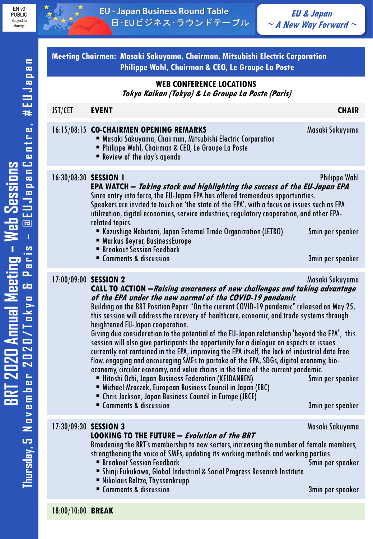

**EU & Japan**  $\sim$  A New Way Forward  $\sim$ 

**Meeting Chairmen: Masaki Sakuyama, Chairman, Mitsubishi Electric Corporation Philippe Wahl, Chairman & CEO, Le Groupe La Poste WEB CONFERENCE LOCATIONS Tokyo Kaikan (Tokyo) & Le Groupe La Poste (Paris)** JST/CET **EVENT CHAIR** 16:15/08:15 **CO-CHAIRMEN OPENING REMARKS** Masaki Sakuyama ■ Masaki Sakuyama, Chairman, Mitsubishi Electric Corporation ▪ Philippe Wahl, Chairman & CEO, Le Groupe La Poste  $\blacksquare$  Review of the day's agenda 16:30/08:30 **SESSION 1** Philippe Wahl **EPA WATCH – Taking stock and highlighting the success of the EU-Japan EPA** Since entry into force, the EU-Japan EPA has offered tremendous opportunities. Speakers are invited to touch on 'the state of the EPA', with a focus on issues such as EPA utilization, digital economies, service industries, regulatory cooperation, andother EPArelated topics. ▪ Kazushige Nobutani, Japan External Trade Organization (JETRO) 5min per speaker ■ Markus Beyrer, BusinessEurope ■ Breakout Session Feedback ■ Comments & discussion 3min per speaker 17:00/09:00 **SESSION 2** Masaki Sakuyama **CALL TO ACTION –Raising awareness of new challenges and taking advantage of the EPA under the new normal of the COVID-19 pandemic** Building on the BRT Position Paper "On the current COVID-19 pandemic" released on May 25, this session will address the recovery of healthcare, economic, and trade systems through heightened EU-Japan cooperation. Giving due consideration to the potential of the EU-Japan relationship 'beyond the EPA', this session will also give participants the opportunity for a dialogue on aspects or issues currently not contained in the EPA, improving the EPA itself, the lack of industrial data free flow, engaging and encouraging SMEs to partake of the EPA, SDGs, digital economy, bioeconomy, circular economy, and value chains in the time of the current pandemic. ■ Hitoshi Ochi, Japan Business Federation (KEIDANREN) 5min per speaker ▪ Michael Mroczek, European Business Council in Japan (EBC) ▪ Chris Jackson, Japan Business Council in Europe (JBCE) ▪ Comments & discussion 3min per speaker 17:30/09:30 **SESSION 3** Masaki Sakuyama **LOOKING TO THE FUTURE – Evolution of the BRT** Broadening the BRT's membership to new sectors, increasing the number of female members, strengthening the voice of SMEs, updating its working methods and working parties<br>• Breakout Session Feedback **Exercise Breakout Session Feedback** ▪ Shinji Fukukawa, Global Industrial & Social Progress Research Institute ■ Nikolaus Boltze, Thyssenkrupp ■ Comments & discussion 3min per speaker 18:00/10:00 **BREAK**